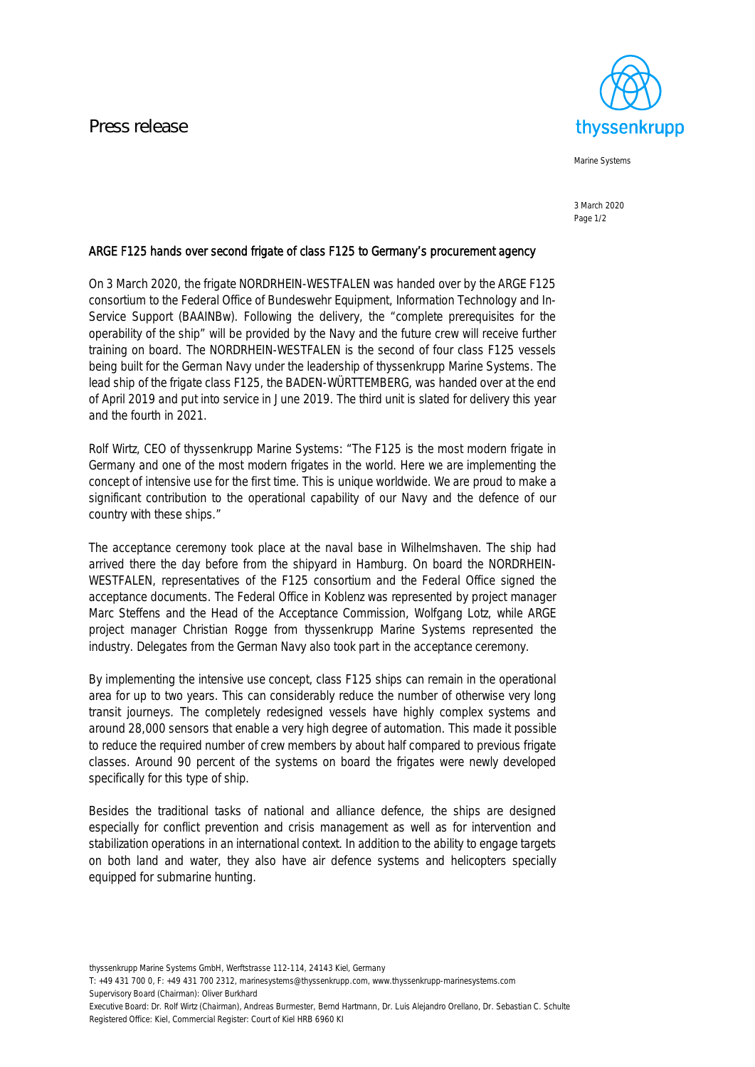

Marine Systems

3 March 2020 Page 1/2

## ARGE F125 hands over second frigate of class F125 to Germany's procurement agency

On 3 March 2020, the frigate NORDRHEIN-WESTFALEN was handed over by the ARGE F125 consortium to the Federal Office of Bundeswehr Equipment, Information Technology and In-Service Support (BAAINBw). Following the delivery, the "complete prerequisites for the operability of the ship" will be provided by the Navy and the future crew will receive further training on board. The NORDRHEIN-WESTFALEN is the second of four class F125 vessels being built for the German Navy under the leadership of thyssenkrupp Marine Systems. The lead ship of the frigate class F125, the BADEN-WÜRTTEMBERG, was handed over at the end of April 2019 and put into service in June 2019. The third unit is slated for delivery this year and the fourth in 2021.

Rolf Wirtz, CEO of thyssenkrupp Marine Systems: "The F125 is the most modern frigate in Germany and one of the most modern frigates in the world. Here we are implementing the concept of intensive use for the first time. This is unique worldwide. We are proud to make a significant contribution to the operational capability of our Navy and the defence of our country with these ships."

The acceptance ceremony took place at the naval base in Wilhelmshaven. The ship had arrived there the day before from the shipyard in Hamburg. On board the NORDRHEIN-WESTFALEN, representatives of the F125 consortium and the Federal Office signed the acceptance documents. The Federal Office in Koblenz was represented by project manager Marc Steffens and the Head of the Acceptance Commission, Wolfgang Lotz, while ARGE project manager Christian Rogge from thyssenkrupp Marine Systems represented the industry. Delegates from the German Navy also took part in the acceptance ceremony.

By implementing the intensive use concept, class F125 ships can remain in the operational area for up to two years. This can considerably reduce the number of otherwise very long transit journeys. The completely redesigned vessels have highly complex systems and around 28,000 sensors that enable a very high degree of automation. This made it possible to reduce the required number of crew members by about half compared to previous frigate classes. Around 90 percent of the systems on board the frigates were newly developed specifically for this type of ship.

Besides the traditional tasks of national and alliance defence, the ships are designed especially for conflict prevention and crisis management as well as for intervention and stabilization operations in an international context. In addition to the ability to engage targets on both land and water, they also have air defence systems and helicopters specially equipped for submarine hunting.

thyssenkrupp Marine Systems GmbH, Werftstrasse 112-114, 24143 Kiel, Germany

T: +49 431 700 0, F: +49 431 700 2312, marinesystems@thyssenkrupp.com, www.thyssenkrupp-marinesystems.com Supervisory Board (Chairman): Oliver Burkhard

Executive Board: Dr. Rolf Wirtz (Chairman), Andreas Burmester, Bernd Hartmann, Dr. Luis Alejandro Orellano, Dr. Sebastian C. Schulte Registered Office: Kiel, Commercial Register: Court of Kiel HRB 6960 KI